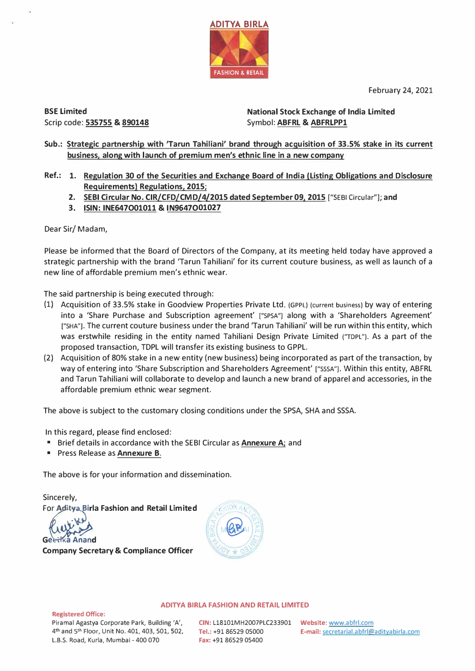February 24, 2021



**BSE Limited**  Scrip code: **535755** & **890148** 

**National Stock Exchange of India Limited**  Symbol: **ABFRL** & **ABFRLPPl** 

- **Sub.: Strategic partnership with 'Tarun Tahiliani' brand through acquisition of 33.5% stake in its current business, along with launch of premium men's ethnic line in a new company**
- **Ref.: 1. Regulation 30 of the Securities and Exchange Board of India (Listing Obligations and Disclosure Requirements) Regulations, 2015;** 
	- **2. SEBI Circular No. CIR/CFD/CMD/4/2015 dated September 09, 2015** ["SEBI Circular"]; **and**
	- **3. ISIN: INE647O01011 & IN9647O01027**

Dear Sir/ Madam,

Please be informed that the Board of Directors of the Company, at its meeting held today have approved a strategic partnership with the brand 'Tarun Tahiliani' for its current couture business, as well as launch of a new line of affordable premium men's ethnic wear.

The said partnership is being executed through:

- (1) Acquisition of 33.5% stake in Goodview Properties Private Ltd. (GPPL) (current business) by way of entering into a 'Share Purchase and Subscription agreement' ["SPSA"] along with a 'Shareholders Agreement' ["SHA"]. The current couture business under the brand 'Tarun Tahiliani' will be run within this entity, which was erstwhile residing in the entity named Tahiliani Design Private Limited ("TDPL"). As a part of the proposed transaction, TDPL will transfer its existing business to GPPL.
- (2) Acquisition of 80% stake in a new entity (new business) being incorporated as part of the transaction, by way of entering into 'Share Subscription and Shareholders Agreement' ["SSSA"J. Within this entity, ABFRL and Tarun Tahiliani will collaborate to develop and launch a new brand of apparel and accessories, in the affordable premium ethnic wear segment.

The above is subject to the customary closing conditions under the SPSA, SHA and SSSA.

In this regard, please find enclosed:

- Brief details in accordance with the SEBI Circular as **Annexure A**; and
- Press Release as **Annexure B.**

The above is for your information and dissemination.

Sincerely, **For Aditya Birla Fashion and Retail Limited**<br>————————————————————

tika Anan**d** 

**Company Secretary & Compliance Officer** 



### **ADITYA BIRLA FASHION AND RETAIL LIMITED**

**Registered Office:** 

Piramal Agastya Corporate Park, Building 'A', 4 th and 5th Floor, Unit No. 401, 403, 501, 502, L.B.S. Road, Kurla, Mumbai - 400 070

**CIN:** L18101MH2007PLC233901 **Website:** www.abfrl.com **Fax:** +91 86529 05400

**Tel.:** +91 86529 05000 **E-mail:** secretarial.abfrl@aditvabirla.com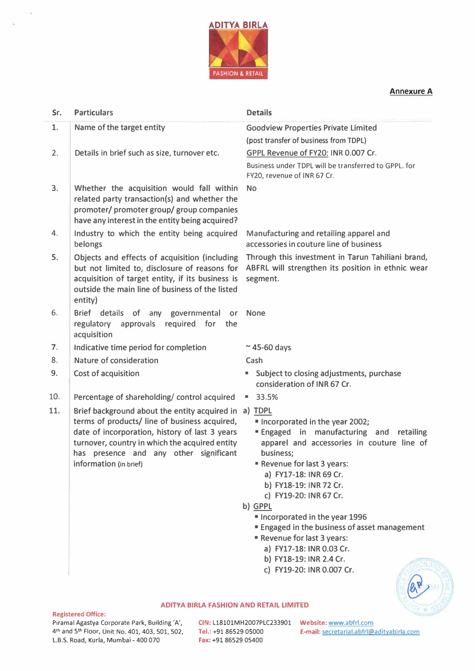

## Annexure A

| Sr. | <b>Particulars</b>                                                                                                                                                                                                                                                             | <b>Details</b>                                                                                                                                                                                                                                                                                                                                          |
|-----|--------------------------------------------------------------------------------------------------------------------------------------------------------------------------------------------------------------------------------------------------------------------------------|---------------------------------------------------------------------------------------------------------------------------------------------------------------------------------------------------------------------------------------------------------------------------------------------------------------------------------------------------------|
| 1.  | Name of the target entity                                                                                                                                                                                                                                                      | <b>Goodview Properties Private Limited</b>                                                                                                                                                                                                                                                                                                              |
|     |                                                                                                                                                                                                                                                                                | (post transfer of business from TDPL)                                                                                                                                                                                                                                                                                                                   |
| 2.  | Details in brief such as size, turnover etc.                                                                                                                                                                                                                                   | GPPL Revenue of FY20: INR 0.007 Cr.                                                                                                                                                                                                                                                                                                                     |
|     |                                                                                                                                                                                                                                                                                | Business under TDPL will be transferred to GPPL, for<br>FY20, revenue of INR 67 Cr.                                                                                                                                                                                                                                                                     |
| 3.  | Whether the acquisition would fall within<br>related party transaction(s) and whether the<br>promoter/ promoter group/ group companies<br>have any interest in the entity being acquired?                                                                                      | <b>No</b>                                                                                                                                                                                                                                                                                                                                               |
| 4.  | Industry to which the entity being acquired<br>belongs                                                                                                                                                                                                                         | Manufacturing and retailing apparel and<br>accessories in couture line of business                                                                                                                                                                                                                                                                      |
| 5.  | Objects and effects of acquisition (including<br>but not limited to, disclosure of reasons for<br>acquisition of target entity, if its business is<br>outside the main line of business of the listed<br>entity)                                                               | Through this investment in Tarun Tahiliani brand,<br>ABFRL will strengthen its position in ethnic wear<br>segment.                                                                                                                                                                                                                                      |
| 6.  | Brief details of any governmental<br>or<br>regulatory<br>approvals required for<br>the<br>acquisition                                                                                                                                                                          | <b>None</b>                                                                                                                                                                                                                                                                                                                                             |
| 7.  | Indicative time period for completion                                                                                                                                                                                                                                          | $~\sim$ 45-60 days                                                                                                                                                                                                                                                                                                                                      |
| 8.  | Nature of consideration                                                                                                                                                                                                                                                        | Cash                                                                                                                                                                                                                                                                                                                                                    |
| 9.  | Cost of acquisition                                                                                                                                                                                                                                                            | Subject to closing adjustments, purchase<br>٠<br>consideration of INR 67 Cr.                                                                                                                                                                                                                                                                            |
| 10. | Percentage of shareholding/control acquired                                                                                                                                                                                                                                    | $-33.5%$                                                                                                                                                                                                                                                                                                                                                |
| 11. | Brief background about the entity acquired in a) TDPL<br>terms of products/ line of business acquired,<br>date of incorporation, history of last 3 years<br>turnover, country in which the acquired entity<br>has presence and any other significant<br>information (in brief) | Incorporated in the year 2002;<br><b>Engaged</b> in manufacturing and retailing<br>apparel and accessories in couture line of<br>business;<br>Revenue for last 3 years:<br>a) FY17-18: INR 69 Cr.<br>b) FY18-19: INR 72 Cr.<br>c) FY19-20: INR 67 Cr.<br>b) GPPL<br>Incorporated in the year 1996<br><b>Engaged in the business of asset management</b> |
|     |                                                                                                                                                                                                                                                                                | <b>Revenue for last 3 years:</b>                                                                                                                                                                                                                                                                                                                        |

- a) FY17-18: INR 0.03 Cr.
- b) FY18-19: INR 2.4 Cr.
- c) FY19-20: INR 0.007 Cr.



### **ADITYA BIRLA FASHION AND RETAIL LIMITED**

## **Registered Office:**

.<br>Ga

 $\tilde{\chi}$ 

Piramal Agastya Corporate Park, Building 'A', **CIN:** L18101MH2007PLC233901 **Website:** www.abfrl.com 4<sup>th</sup> and 5<sup>th</sup> Floor, Unit No. 401, 403, 501, 502, L.B.S. Road, Kurla, Mumbai - 400 070

**Fax:** +91 86529 05400

**Tel.:** +91 86529 05000 **E-mail:** secretarial.abfrl@adityabirla.com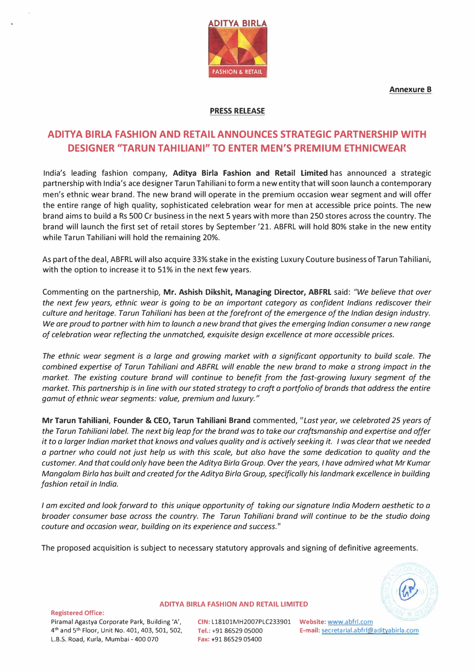**Annexure B** 



## **PRESS RELEASE**

# **ADITYA BIRLA FASHION AND RETAIL ANNOUNCES STRATEGIC PARTNERSHIP WITH DESIGNER "TARUN TAHILIANI" TO ENTER MEN'S PREMIUM ETHNICWEAR**

India's leading fashion company, **Aditya Birla Fashion and Retail Limited** has announced a strategic partnership with India's ace designer Tarun Tahiliani to form a new entity that will soon launch a contemporary men's ethnic wear brand. The new brand will operate in the premium occasion wear segment and will offer the entire range of high quality, sophisticated celebration wear for men at accessible price points. The new brand aims to build a Rs 500 Cr business in the next 5 years with more than 250 stores across the country. The brand will launch the first set of retail stores by September '21. ABFRL will hold 80% stake in the new entity while Tarun Tahiliani will hold the remaining 20%.

As part of the deal, ABFRL will also acquire 33% stake in the existing Luxury Couture business of Tarun Tahiliani, with the option to increase it to 51% in the next few years.

Commenting on the partnership, **Mr. Ashish Dikshit, Managing Director, ABFRL** said: *"We believe that over the next few years, ethnic wear is going to be an important category as confident Indians rediscover their*  culture and heritage. Tarun Tahiliani has been at the forefront of the emergence of the Indian design industry. *We are proud to partner with him to launch a new brand that gives the emerging Indian consumer a new range of celebration wear reflecting the unmatched, exquisite design excellence at more accessible prices.* 

*The ethnic wear segment is a large and growing market with a significant opportunity to build scale. The combined expertise of Tarun Tahiliani and ABFRL will enable the new brand to make a strong impact in the market. The existing couture brand will continue to benefit from the fast-growing luxury segment of the market. This partnership is in line with our stated strategy to craft a portfolio of brands that address the entire gamut of ethnic wear segments: value, premium and luxury."* 

**Mr Tarun Tahiliani, Founder & CEO, Tarun Tahiliani Brand** commented, *"Last year, we celebrated 25 years of the Tarun Tahiliani label. The next big leap for the brand was to take our craftsmanship and expertise and offer it to a larger Indian market that knows and values quality and is actively seeking it. I was clear that we needed a partner who could not just help us with this scale, but also have the same dedication to quality and the customer. And that could only have been the Aditya Bir/a Group. Over the years, I have admired what Mr Kumar Mangalam Birla has built and created for the Aditya Birla Group, specifically his landmark excellence in building fashion retail in India.* 

*I am excited and look forward to this unique opportunity of taking our signature India Modern aesthetic to a broader consumer base across the country. The Tarun Tahiliani brand will continue to be the studio doing couture and occasion wear, building on its experience and success."* 

The proposed acquisition is subject to necessary statutory approvals and signing of definitive agreements.

**ADITYA BIRLA FASHION AND RETAIL LIMITED** 



**Registered Office:** 

**CIN:** L18101MH2007PLC233901 **Website:** www.abfrl.com **Fax:** +91 86529 05400

**Tel.:** +91 86529 05000 **E-mail:** secretarial.abfrl@adityabirla.com